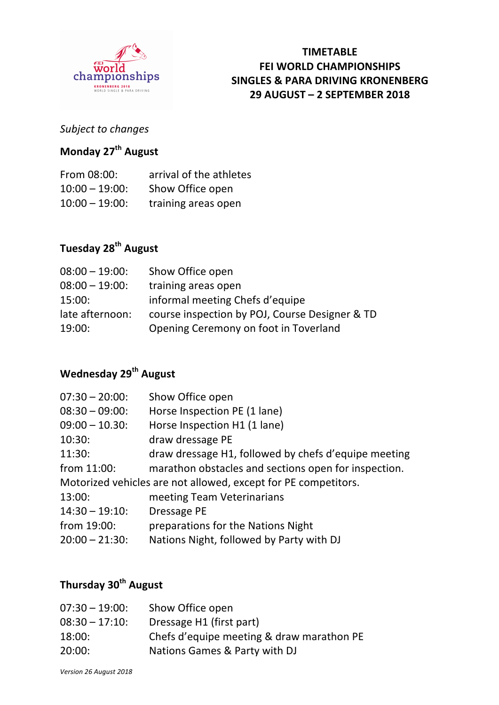

### **TIMETABLE FEI WORLD CHAMPIONSHIPS SINGLES & PARA DRIVING KRONENBERG 29 AUGUST – 2 SEPTEMBER 2018**

### *Subject to changes*

## **Monday 27th August**

| From 08:00:       | arrival of the athletes |
|-------------------|-------------------------|
| $10:00 - 19:00$ : | Show Office open        |
| $10:00 - 19:00$ : | training areas open     |

# **Tuesday 28th August**

| $08:00 - 19:00$ : | Show Office open                               |
|-------------------|------------------------------------------------|
| $08:00 - 19:00$ : | training areas open                            |
| 15:00:            | informal meeting Chefs d'equipe                |
| late afternoon:   | course inspection by POJ, Course Designer & TD |
| 19:00:            | Opening Ceremony on foot in Toverland          |

### **Wednesday 29th August**

| $07:30 - 20:00$ :                                              | Show Office open                                     |  |
|----------------------------------------------------------------|------------------------------------------------------|--|
| $08:30 - 09:00$ :                                              | Horse Inspection PE (1 lane)                         |  |
| $09:00 - 10.30$ :                                              | Horse Inspection H1 (1 lane)                         |  |
| 10:30:                                                         | draw dressage PE                                     |  |
| 11:30:                                                         | draw dressage H1, followed by chefs d'equipe meeting |  |
| from 11:00:                                                    | marathon obstacles and sections open for inspection. |  |
| Motorized vehicles are not allowed, except for PE competitors. |                                                      |  |
| 13:00:                                                         | meeting Team Veterinarians                           |  |
| $14:30 - 19:10$ :                                              | Dressage PE                                          |  |
| from 19:00:                                                    | preparations for the Nations Night                   |  |
| $20:00 - 21:30$                                                | Nations Night, followed by Party with DJ             |  |
|                                                                |                                                      |  |

## **Thursday 30th August**

| $07:30 - 19:00$ | Show Office open                          |
|-----------------|-------------------------------------------|
| $08:30 - 17:10$ | Dressage H1 (first part)                  |
| 18:00:          | Chefs d'equipe meeting & draw marathon PE |
| 20:00:          | Nations Games & Party with DJ             |
|                 |                                           |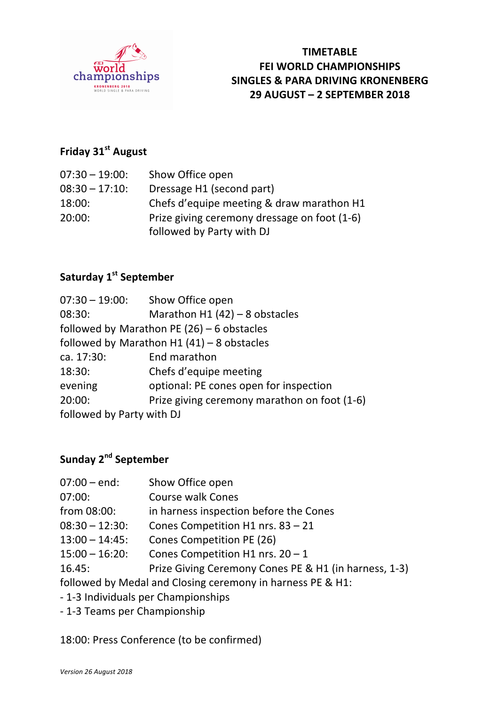

## **Friday 31st August**

| $07:30 - 19:00$ : | Show Office open                             |
|-------------------|----------------------------------------------|
| $08:30 - 17:10$ : | Dressage H1 (second part)                    |
| 18:00:            | Chefs d'equipe meeting & draw marathon H1    |
| 20:00:            | Prize giving ceremony dressage on foot (1-6) |
|                   | followed by Party with DJ                    |

## **Saturday 1<sup>st</sup> September**

| $07:30 - 19:00:$          | Show Office open                             |
|---------------------------|----------------------------------------------|
| 08:30:                    | Marathon H1 $(42)$ – 8 obstacles             |
|                           | followed by Marathon PE $(26)$ – 6 obstacles |
|                           | followed by Marathon H1 $(41)$ – 8 obstacles |
| ca. 17:30:                | End marathon                                 |
| 18:30:                    | Chefs d'equipe meeting                       |
| evening                   | optional: PE cones open for inspection       |
| 20:00:                    | Prize giving ceremony marathon on foot (1-6) |
| followed by Party with DJ |                                              |

# **Sunday 2nd September**

| $07:00 - end:$                                             | Show Office open                                      |
|------------------------------------------------------------|-------------------------------------------------------|
| 07:00:                                                     | <b>Course walk Cones</b>                              |
| from 08:00:                                                | in harness inspection before the Cones                |
| $08:30 - 12:30$ :                                          | Cones Competition H1 nrs. 83 - 21                     |
| $13:00 - 14:45$ :                                          | Cones Competition PE (26)                             |
| $15:00 - 16:20$ :                                          | Cones Competition H1 nrs. $20 - 1$                    |
| 16.45:                                                     | Prize Giving Ceremony Cones PE & H1 (in harness, 1-3) |
| followed by Medal and Closing ceremony in harness PE & H1: |                                                       |
| - 1-3 Individuals per Championships                        |                                                       |
|                                                            |                                                       |

- 1-3 Teams per Championship

18:00: Press Conference (to be confirmed)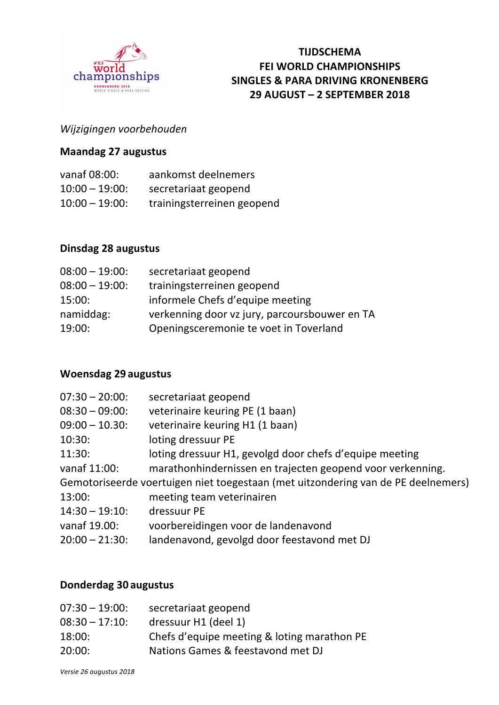

### **TIJDSCHEMA FEI WORLD CHAMPIONSHIPS SINGLES & PARA DRIVING KRONENBERG 29 AUGUST – 2 SEPTEMBER 2018**

### *Wijzigingen voorbehouden*

#### **Maandag 27 augustus**

| vanaf 08:00:      | aankomst deelnemers        |
|-------------------|----------------------------|
| $10:00 - 19:00$ : | secretariaat geopend       |
| $10:00 - 19:00$ : | trainingsterreinen geopend |

#### **Dinsdag 28 augustus**

| $08:00 - 19:00$ : | secretariaat geopend                          |
|-------------------|-----------------------------------------------|
| $08:00 - 19:00$ : | trainingsterreinen geopend                    |
| 15:00:            | informele Chefs d'equipe meeting              |
| namiddag:         | verkenning door vz jury, parcoursbouwer en TA |
| 19:00:            | Openingsceremonie te voet in Toverland        |
|                   |                                               |

#### **Woensdag 29 augustus**

| $07:30 - 20:00$   | secretariaat geopend                                                              |
|-------------------|-----------------------------------------------------------------------------------|
| $08:30 - 09:00$ : | veterinaire keuring PE (1 baan)                                                   |
| $09:00 - 10.30$   | veterinaire keuring H1 (1 baan)                                                   |
| 10:30:            | loting dressuur PE                                                                |
| 11:30:            | loting dressuur H1, gevolgd door chefs d'equipe meeting                           |
| vanaf 11:00:      | marathonhindernissen en trajecten geopend voor verkenning.                        |
|                   | Gemotoriseerde voertuigen niet toegestaan (met uitzondering van de PE deelnemers) |
| 13:00:            | meeting team veterinairen                                                         |
| $14:30 - 19:10$ : | dressuur PE                                                                       |
| vanaf 19.00:      | voorbereidingen voor de landenavond                                               |
| $20:00 - 21:30$ : | landenavond, gevolgd door feestavond met DJ                                       |
|                   |                                                                                   |

#### **Donderdag 30 augustus**

| $07:30 - 19:00$ | secretariaat geopend                        |
|-----------------|---------------------------------------------|
| $08:30 - 17:10$ | dressuur H1 (deel 1)                        |
| 18:00:          | Chefs d'equipe meeting & loting marathon PE |
| 20:00:          | Nations Games & feestavond met DJ           |
|                 |                                             |